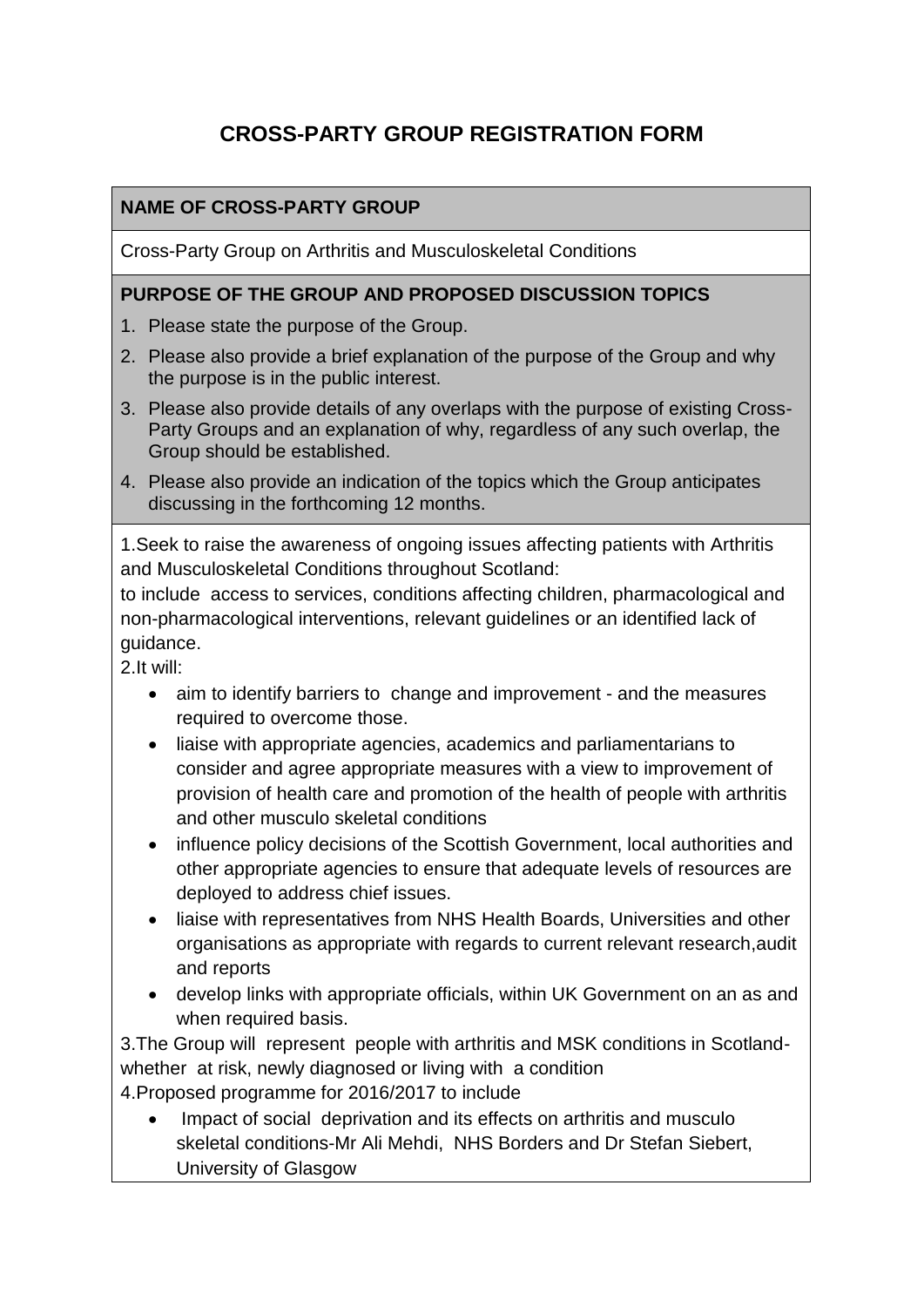# **CROSS-PARTY GROUP REGISTRATION FORM**

### **NAME OF CROSS-PARTY GROUP**

Cross-Party Group on Arthritis and Musculoskeletal Conditions

#### **PURPOSE OF THE GROUP AND PROPOSED DISCUSSION TOPICS**

- 1. Please state the purpose of the Group.
- 2. Please also provide a brief explanation of the purpose of the Group and why the purpose is in the public interest.
- 3. Please also provide details of any overlaps with the purpose of existing Cross-Party Groups and an explanation of why, regardless of any such overlap, the Group should be established.
- 4. Please also provide an indication of the topics which the Group anticipates discussing in the forthcoming 12 months.

1.Seek to raise the awareness of ongoing issues affecting patients with Arthritis and Musculoskeletal Conditions throughout Scotland:

to include access to services, conditions affecting children, pharmacological and non-pharmacological interventions, relevant guidelines or an identified lack of guidance.

2.It will:

- aim to identify barriers to change and improvement and the measures required to overcome those.
- liaise with appropriate agencies, academics and parliamentarians to consider and agree appropriate measures with a view to improvement of provision of health care and promotion of the health of people with arthritis and other musculo skeletal conditions
- influence policy decisions of the Scottish Government, local authorities and other appropriate agencies to ensure that adequate levels of resources are deployed to address chief issues.
- liaise with representatives from NHS Health Boards, Universities and other organisations as appropriate with regards to current relevant research,audit and reports
- develop links with appropriate officials, within UK Government on an as and when required basis.

3.The Group will represent people with arthritis and MSK conditions in Scotlandwhether at risk, newly diagnosed or living with a condition

4.Proposed programme for 2016/2017 to include

 Impact of social deprivation and its effects on arthritis and musculo skeletal conditions-Mr Ali Mehdi, NHS Borders and Dr Stefan Siebert, University of Glasgow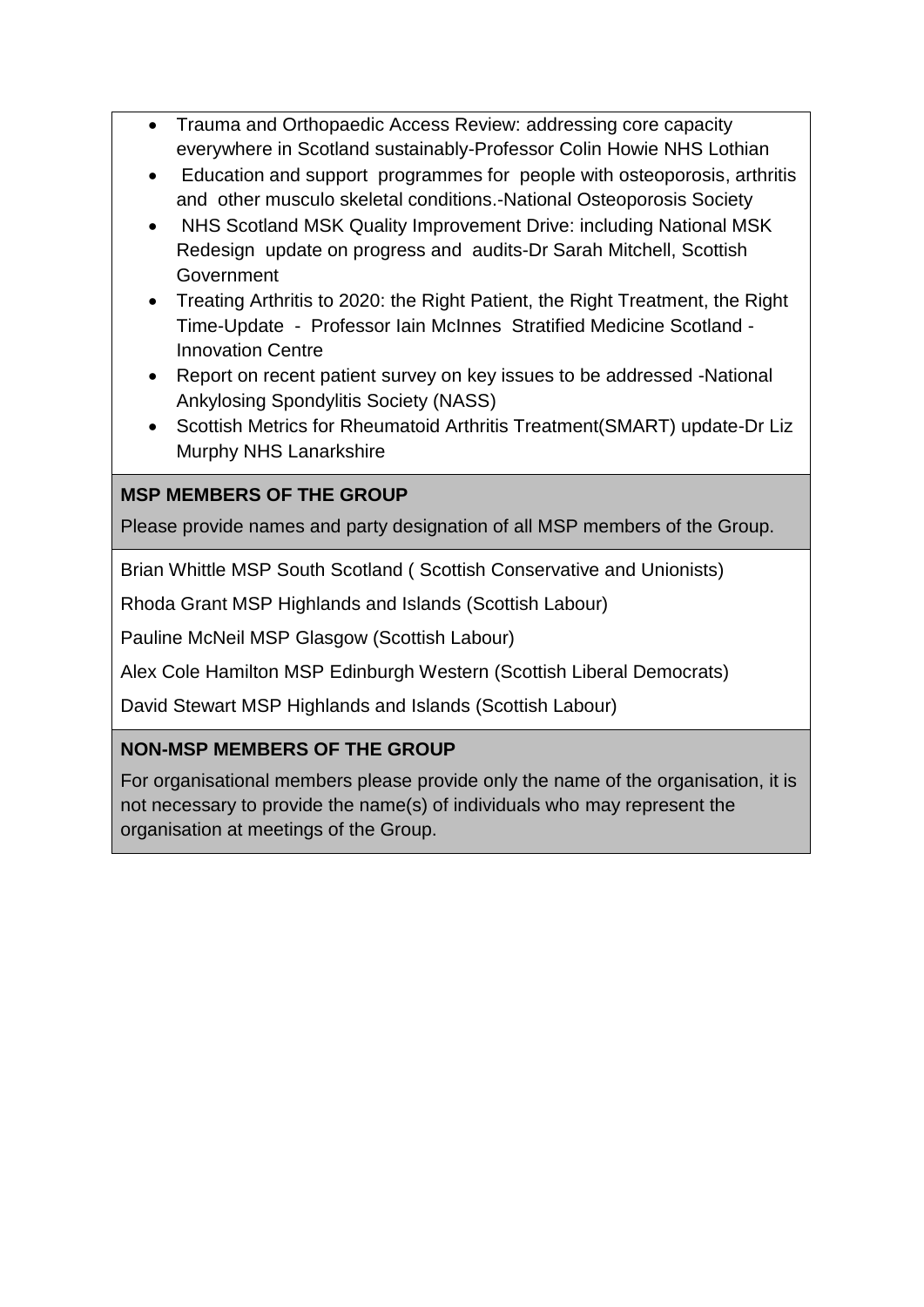- Trauma and Orthopaedic Access Review: addressing core capacity everywhere in Scotland sustainably-Professor Colin Howie NHS Lothian
- Education and support programmes for people with osteoporosis, arthritis and other musculo skeletal conditions.-National Osteoporosis Society
- NHS Scotland MSK Quality Improvement Drive: including National MSK Redesign update on progress and audits-Dr Sarah Mitchell, Scottish Government
- Treating Arthritis to 2020: the Right Patient, the Right Treatment, the Right Time-Update - Professor Iain McInnes Stratified Medicine Scotland - Innovation Centre
- Report on recent patient survey on key issues to be addressed -National Ankylosing Spondylitis Society (NASS)
- Scottish Metrics for Rheumatoid Arthritis Treatment(SMART) update-Dr Liz Murphy NHS Lanarkshire

# **MSP MEMBERS OF THE GROUP**

Please provide names and party designation of all MSP members of the Group.

Brian Whittle MSP South Scotland ( Scottish Conservative and Unionists)

Rhoda Grant MSP Highlands and Islands (Scottish Labour)

Pauline McNeil MSP Glasgow (Scottish Labour)

Alex Cole Hamilton MSP Edinburgh Western (Scottish Liberal Democrats)

David Stewart MSP Highlands and Islands (Scottish Labour)

### **NON-MSP MEMBERS OF THE GROUP**

For organisational members please provide only the name of the organisation, it is not necessary to provide the name(s) of individuals who may represent the organisation at meetings of the Group.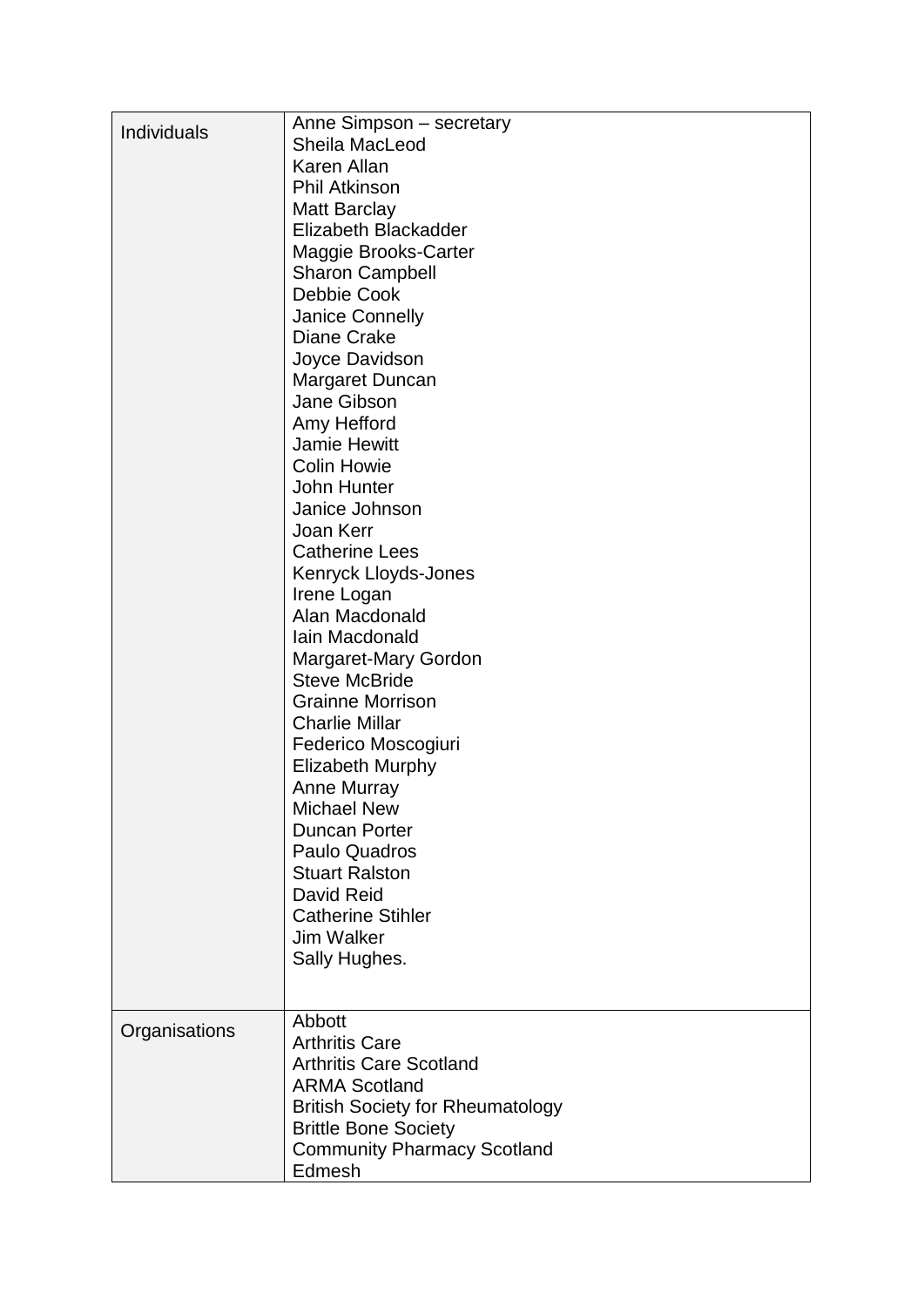| Individuals   | Anne Simpson - secretary<br>Sheila MacLeod<br>Karen Allan<br><b>Phil Atkinson</b><br><b>Matt Barclay</b><br>Elizabeth Blackadder<br>Maggie Brooks-Carter<br><b>Sharon Campbell</b><br>Debbie Cook<br>Janice Connelly<br><b>Diane Crake</b><br>Joyce Davidson<br>Margaret Duncan<br>Jane Gibson<br>Amy Hefford<br><b>Jamie Hewitt</b><br><b>Colin Howie</b><br>John Hunter<br>Janice Johnson<br>Joan Kerr<br><b>Catherine Lees</b><br>Kenryck Lloyds-Jones<br>Irene Logan<br>Alan Macdonald<br>Iain Macdonald<br>Margaret-Mary Gordon<br><b>Steve McBride</b><br><b>Grainne Morrison</b><br><b>Charlie Millar</b><br>Federico Moscogiuri<br><b>Elizabeth Murphy</b><br><b>Anne Murray</b><br><b>Michael New</b><br><b>Duncan Porter</b><br>Paulo Quadros<br><b>Stuart Ralston</b><br>David Reid<br><b>Catherine Stihler</b><br><b>Jim Walker</b><br>Sally Hughes. |
|---------------|------------------------------------------------------------------------------------------------------------------------------------------------------------------------------------------------------------------------------------------------------------------------------------------------------------------------------------------------------------------------------------------------------------------------------------------------------------------------------------------------------------------------------------------------------------------------------------------------------------------------------------------------------------------------------------------------------------------------------------------------------------------------------------------------------------------------------------------------------------------|
|               |                                                                                                                                                                                                                                                                                                                                                                                                                                                                                                                                                                                                                                                                                                                                                                                                                                                                  |
| Organisations | Abbott<br><b>Arthritis Care</b><br><b>Arthritis Care Scotland</b><br><b>ARMA Scotland</b><br><b>British Society for Rheumatology</b><br><b>Brittle Bone Society</b><br><b>Community Pharmacy Scotland</b><br>Edmesh                                                                                                                                                                                                                                                                                                                                                                                                                                                                                                                                                                                                                                              |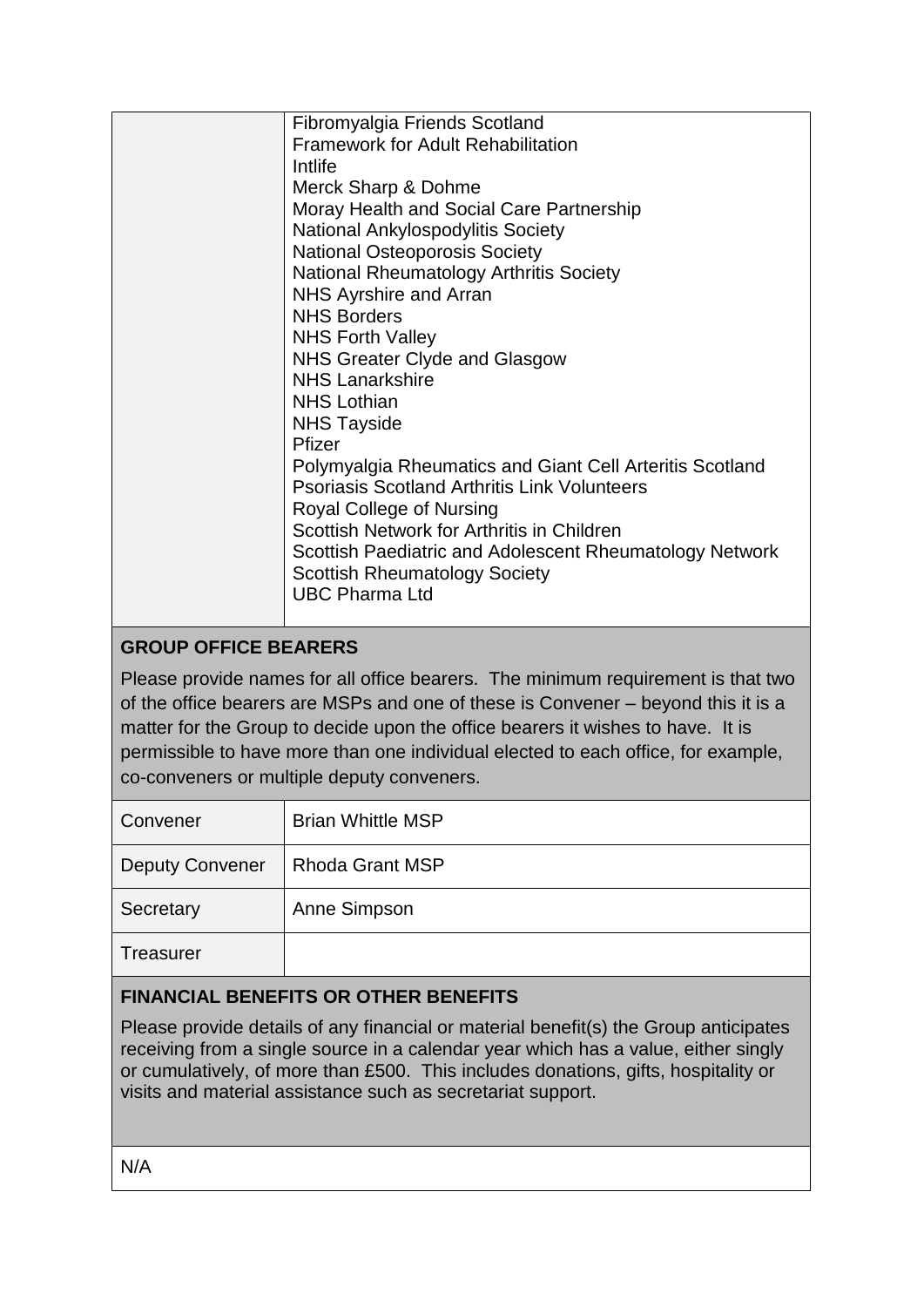| Fibromyalgia Friends Scotland                            |
|----------------------------------------------------------|
| <b>Framework for Adult Rehabilitation</b>                |
| Intlife                                                  |
| Merck Sharp & Dohme                                      |
| Moray Health and Social Care Partnership                 |
| <b>National Ankylospodylitis Society</b>                 |
| <b>National Osteoporosis Society</b>                     |
| <b>National Rheumatology Arthritis Society</b>           |
| NHS Ayrshire and Arran                                   |
| <b>NHS Borders</b>                                       |
| <b>NHS Forth Valley</b>                                  |
| NHS Greater Clyde and Glasgow                            |
| <b>NHS Lanarkshire</b>                                   |
| <b>NHS Lothian</b>                                       |
| <b>NHS Tayside</b>                                       |
| Pfizer                                                   |
| Polymyalgia Rheumatics and Giant Cell Arteritis Scotland |
| <b>Psoriasis Scotland Arthritis Link Volunteers</b>      |
| Royal College of Nursing                                 |
| Scottish Network for Arthritis in Children               |
| Scottish Paediatric and Adolescent Rheumatology Network  |
| <b>Scottish Rheumatology Society</b>                     |
| <b>UBC Pharma Ltd</b>                                    |
|                                                          |

## **GROUP OFFICE BEARERS**

Please provide names for all office bearers. The minimum requirement is that two of the office bearers are MSPs and one of these is Convener – beyond this it is a matter for the Group to decide upon the office bearers it wishes to have. It is permissible to have more than one individual elected to each office, for example, co-conveners or multiple deputy conveners.

| Convener               | <b>Brian Whittle MSP</b> |
|------------------------|--------------------------|
| <b>Deputy Convener</b> | <b>Rhoda Grant MSP</b>   |
| Secretary              | Anne Simpson             |
| Treasurer              |                          |

# **FINANCIAL BENEFITS OR OTHER BENEFITS**

Please provide details of any financial or material benefit(s) the Group anticipates receiving from a single source in a calendar year which has a value, either singly or cumulatively, of more than £500. This includes donations, gifts, hospitality or visits and material assistance such as secretariat support.